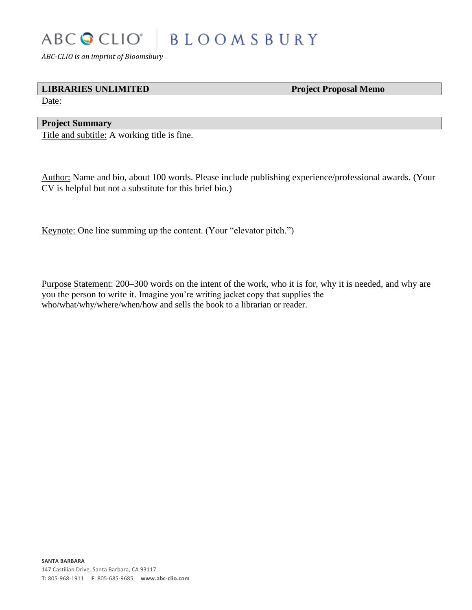# ABC CLIO<sup>®</sup> **BLOOMSBURY**

*ABC-CLIO is an imprint of Bloomsbury*

## **LIBRARIES UNLIMITED Project Proposal Memo**

Date:

# **Project Summary**

Title and subtitle: A working title is fine.

Author: Name and bio, about 100 words. Please include publishing experience/professional awards. (Your CV is helpful but not a substitute for this brief bio.)

Keynote: One line summing up the content. (Your "elevator pitch.")

Purpose Statement: 200–300 words on the intent of the work, who it is for, why it is needed, and why are you the person to write it. Imagine you're writing jacket copy that supplies the who/what/why/where/when/how and sells the book to a librarian or reader.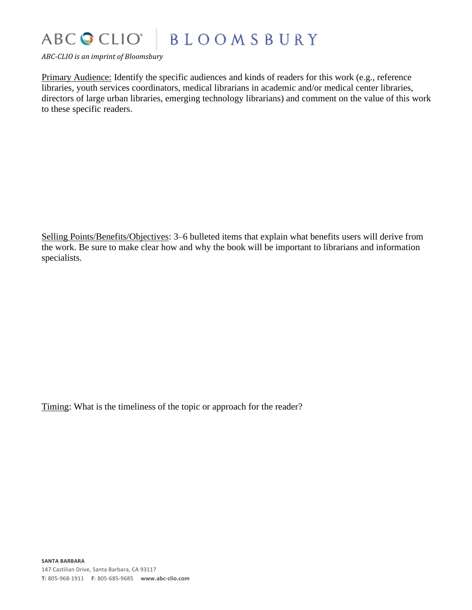## ABC CLIO® **BLOOMSBURY**

*ABC-CLIO is an imprint of Bloomsbury*

Primary Audience: Identify the specific audiences and kinds of readers for this work (e.g., reference libraries, youth services coordinators, medical librarians in academic and/or medical center libraries, directors of large urban libraries, emerging technology librarians) and comment on the value of this work to these specific readers.

Selling Points/Benefits/Objectives: 3–6 bulleted items that explain what benefits users will derive from the work. Be sure to make clear how and why the book will be important to librarians and information specialists.

Timing: What is the timeliness of the topic or approach for the reader?